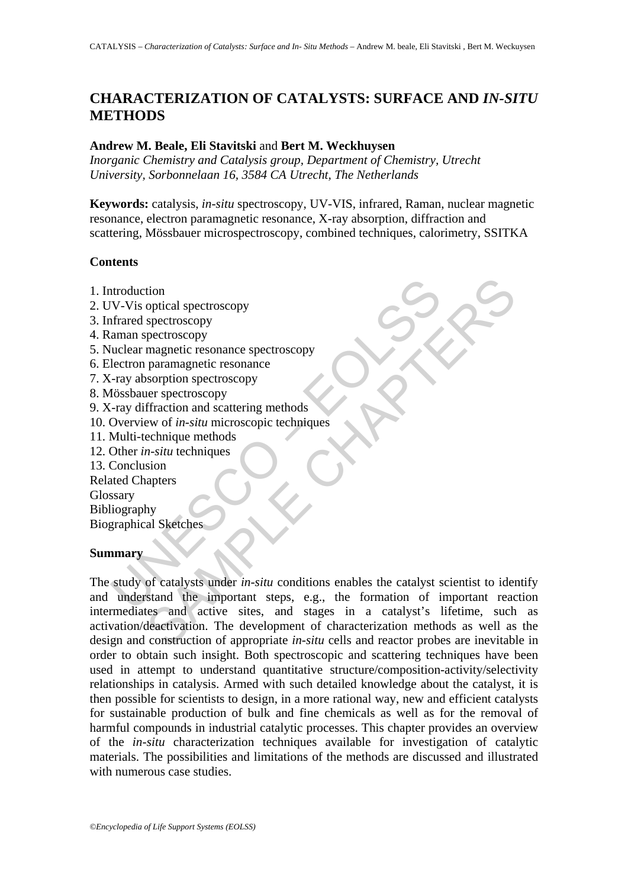# **CHARACTERIZATION OF CATALYSTS: SURFACE AND** *IN-SITU* **METHODS**

#### **Andrew M. Beale, Eli Stavitski** and **Bert M. Weckhuysen**

*Inorganic Chemistry and Catalysis group, Department of Chemistry, Utrecht University, Sorbonnelaan 16, 3584 CA Utrecht, The Netherlands* 

**Keywords:** catalysis, *in-situ* spectroscopy, UV-VIS, infrared, Raman, nuclear magnetic resonance, electron paramagnetic resonance, X-ray absorption, diffraction and scattering, Mössbauer microspectroscopy, combined techniques, calorimetry, SSITKA

#### **Contents**

- 1. Introduction
- 2. UV-Vis optical spectroscopy
- 3. Infrared spectroscopy
- 4. Raman spectroscopy
- 5. Nuclear magnetic resonance spectroscopy
- 6. Electron paramagnetic resonance
- 7. X-ray absorption spectroscopy
- 8. Mössbauer spectroscopy
- 9. X-ray diffraction and scattering methods
- 10. Overview of *in-situ* microscopic techniques
- 11. Multi-technique methods
- 12. Other *in-situ* techniques
- 13. Conclusion

Related Chapters Glossary Bibliography

Biographical Sketches

#### **Summary**

ntroduction<br>
IV-Vis optical spectroscopy<br>
frared spectroscopy<br>
frared spectroscopy<br>
aman spectroscopy<br>
uclear magnetic resonance<br>
lectron paramagnetic resonance<br>
-ray absorption spectroscopy<br>
(5688bauer spectroscopy<br>
dissb tion<br>optical spectroscopy<br>paramagnetic resonance spectroscopy<br>magnetic resonance spectroscopy<br>paramagnetic resonance<br>sorption spectroscopy<br>fraction and scattering methods<br>evv of *in-situ* redirection and scattering methods The study of catalysts under *in-situ* conditions enables the catalyst scientist to identify and understand the important steps, e.g., the formation of important reaction intermediates and active sites, and stages in a catalyst's lifetime, such as activation/deactivation. The development of characterization methods as well as the design and construction of appropriate *in-situ* cells and reactor probes are inevitable in order to obtain such insight. Both spectroscopic and scattering techniques have been used in attempt to understand quantitative structure/composition-activity/selectivity relationships in catalysis. Armed with such detailed knowledge about the catalyst, it is then possible for scientists to design, in a more rational way, new and efficient catalysts for sustainable production of bulk and fine chemicals as well as for the removal of harmful compounds in industrial catalytic processes. This chapter provides an overview of the *in-situ* characterization techniques available for investigation of catalytic materials. The possibilities and limitations of the methods are discussed and illustrated with numerous case studies.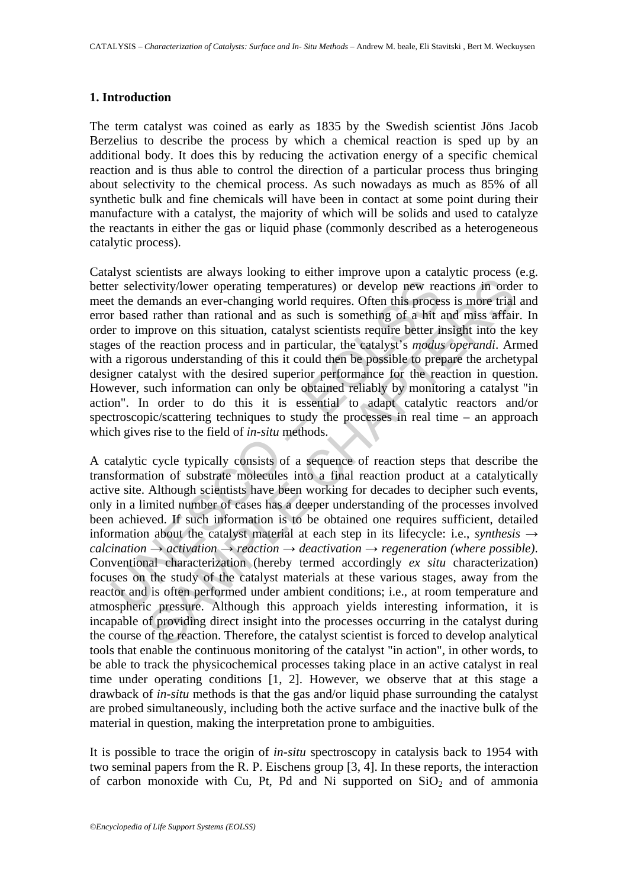#### **1. Introduction**

The term catalyst was coined as early as 1835 by the Swedish scientist Jöns Jacob Berzelius to describe the process by which a chemical reaction is sped up by an additional body. It does this by reducing the activation energy of a specific chemical reaction and is thus able to control the direction of a particular process thus bringing about selectivity to the chemical process. As such nowadays as much as 85% of all synthetic bulk and fine chemicals will have been in contact at some point during their manufacture with a catalyst, the majority of which will be solids and used to catalyze the reactants in either the gas or liquid phase (commonly described as a heterogeneous catalytic process).

er selectivity/lower operating temperatures) or develop new read the demands an ever-changing world requires. Often this proces is to the read rather than rational and as such is something of a hit are to improve on this Catalyst scientists are always looking to either improve upon a catalytic process (e.g. better selectivity/lower operating temperatures) or develop new reactions in order to meet the demands an ever-changing world requires. Often this process is more trial and error based rather than rational and as such is something of a hit and miss affair. In order to improve on this situation, catalyst scientists require better insight into the key stages of the reaction process and in particular, the catalyst's *modus operandi*. Armed with a rigorous understanding of this it could then be possible to prepare the archetypal designer catalyst with the desired superior performance for the reaction in question. However, such information can only be obtained reliably by monitoring a catalyst "in action". In order to do this it is essential to adapt catalytic reactors and/or spectroscopic/scattering techniques to study the processes in real time – an approach which gives rise to the field of *in-situ* methods.

civity/lower operating temperatures) or develop new reactions in order<br>mands an ever-changing temperatures) or develop new reactions in order<br>mands an ever-changing world requires. Often this process is more trial<br>rather A catalytic cycle typically consists of a sequence of reaction steps that describe the transformation of substrate molecules into a final reaction product at a catalytically active site. Although scientists have been working for decades to decipher such events, only in a limited number of cases has a deeper understanding of the processes involved been achieved. If such information is to be obtained one requires sufficient, detailed information about the catalyst material at each step in its lifecycle: i.e., *synthesis →*  $calcination \rightarrow activation \rightarrow reaction \rightarrow deactivation \rightarrow deactivation \rightarrow regeneration (where possible).$ Conventional characterization (hereby termed accordingly *ex situ* characterization) focuses on the study of the catalyst materials at these various stages, away from the reactor and is often performed under ambient conditions; i.e., at room temperature and atmospheric pressure. Although this approach yields interesting information, it is incapable of providing direct insight into the processes occurring in the catalyst during the course of the reaction. Therefore, the catalyst scientist is forced to develop analytical tools that enable the continuous monitoring of the catalyst "in action", in other words, to be able to track the physicochemical processes taking place in an active catalyst in real time under operating conditions [1, 2]. However, we observe that at this stage a drawback of *in-situ* methods is that the gas and/or liquid phase surrounding the catalyst are probed simultaneously, including both the active surface and the inactive bulk of the material in question, making the interpretation prone to ambiguities.

It is possible to trace the origin of *in-situ* spectroscopy in catalysis back to 1954 with two seminal papers from the R. P. Eischens group [3, 4]. In these reports, the interaction of carbon monoxide with Cu, Pt, Pd and Ni supported on  $SiO<sub>2</sub>$  and of ammonia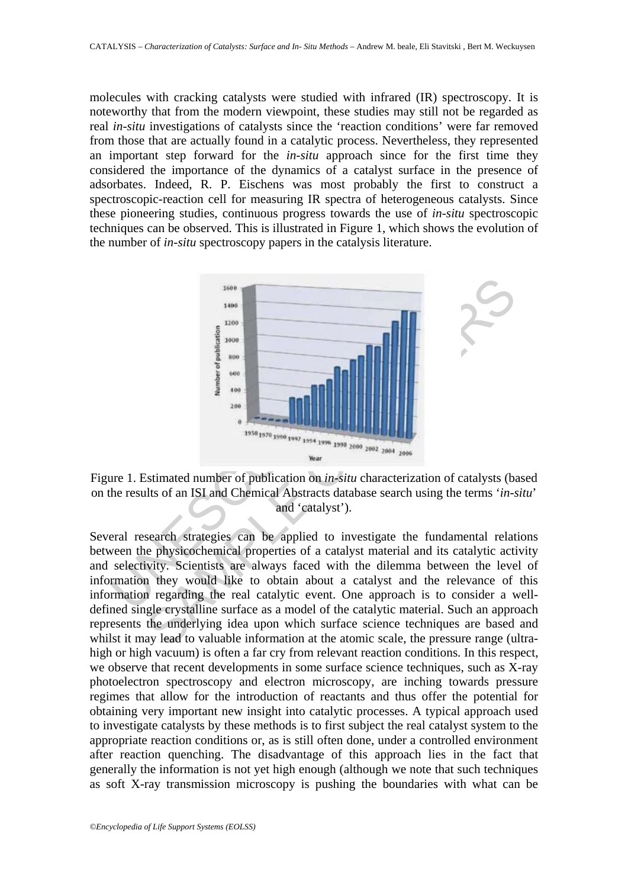molecules with cracking catalysts were studied with infrared (IR) spectroscopy. It is noteworthy that from the modern viewpoint, these studies may still not be regarded as real *in-situ* investigations of catalysts since the 'reaction conditions' were far removed from those that are actually found in a catalytic process. Nevertheless, they represented an important step forward for the *in-situ* approach since for the first time they considered the importance of the dynamics of a catalyst surface in the presence of adsorbates. Indeed, R. P. Eischens was most probably the first to construct a spectroscopic-reaction cell for measuring IR spectra of heterogeneous catalysts. Since these pioneering studies, continuous progress towards the use of *in-situ* spectroscopic techniques can be observed. This is illustrated in Figure 1, which shows the evolution of the number of *in-situ* spectroscopy papers in the catalysis literature.



Figure 1. Estimated number of publication on *in-situ* characterization of catalysts (based on the results of an ISI and Chemical Abstracts database search using the terms '*in-situ*' and 'catalyst').

Several research strategies can be applied to investigate the fundamental relations between the physicochemical properties of a catalyst material and its catalytic activity and selectivity. Scientists are always faced with the dilemma between the level of information they would like to obtain about a catalyst and the relevance of this information regarding the real catalytic event. One approach is to consider a welldefined single crystalline surface as a model of the catalytic material. Such an approach represents the underlying idea upon which surface science techniques are based and whilst it may lead to valuable information at the atomic scale, the pressure range (ultrahigh or high vacuum) is often a far cry from relevant reaction conditions. In this respect, we observe that recent developments in some surface science techniques, such as X-ray photoelectron spectroscopy and electron microscopy, are inching towards pressure regimes that allow for the introduction of reactants and thus offer the potential for obtaining very important new insight into catalytic processes. A typical approach used to investigate catalysts by these methods is to first subject the real catalyst system to the appropriate reaction conditions or, as is still often done, under a controlled environment after reaction quenching. The disadvantage of this approach lies in the fact that generally the information is not yet high enough (although we note that such techniques as soft X-ray transmission microscopy is pushing the boundaries with what can be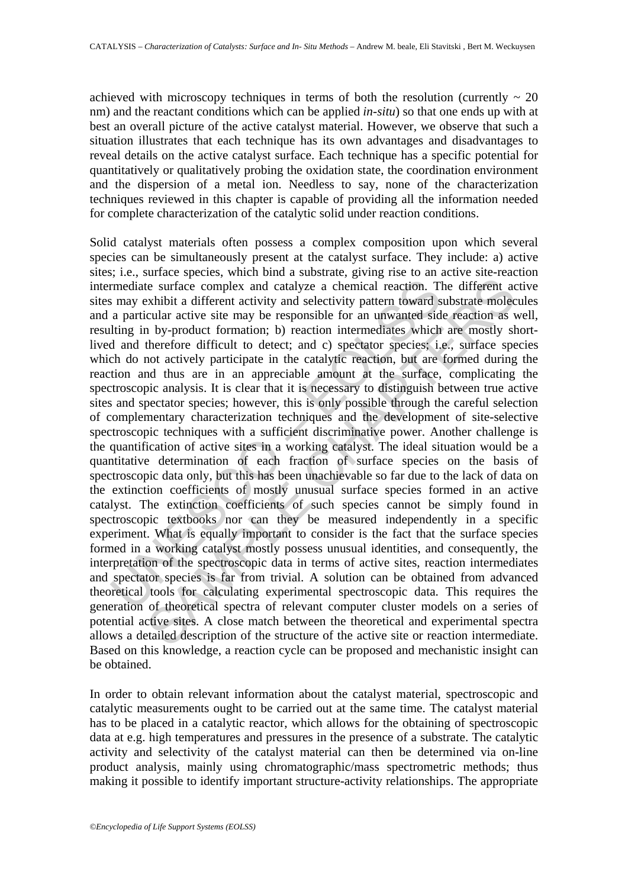achieved with microscopy techniques in terms of both the resolution (currently  $\sim 20$ ) nm) and the reactant conditions which can be applied *in-situ*) so that one ends up with at best an overall picture of the active catalyst material. However, we observe that such a situation illustrates that each technique has its own advantages and disadvantages to reveal details on the active catalyst surface. Each technique has a specific potential for quantitatively or qualitatively probing the oxidation state, the coordination environment and the dispersion of a metal ion. Needless to say, none of the characterization techniques reviewed in this chapter is capable of providing all the information needed for complete characterization of the catalytic solid under reaction conditions.

rmediate surface complex and catalyze a chemical reaction. T<br>may exhibit a different activity and selectivity pattern toward s<br>a particular active site may be responsible for an unwanted sid<br>lting in by-product formation; ite surface complex and catalyze a chemical reaction. The different accomplex and catalyze a chemical reaction. The different acxhibit a different activity and selectivity pattern toward substrate molecular active site may Solid catalyst materials often possess a complex composition upon which several species can be simultaneously present at the catalyst surface. They include: a) active sites; i.e., surface species, which bind a substrate, giving rise to an active site-reaction intermediate surface complex and catalyze a chemical reaction. The different active sites may exhibit a different activity and selectivity pattern toward substrate molecules and a particular active site may be responsible for an unwanted side reaction as well, resulting in by-product formation; b) reaction intermediates which are mostly shortlived and therefore difficult to detect; and c) spectator species; i.e., surface species which do not actively participate in the catalytic reaction, but are formed during the reaction and thus are in an appreciable amount at the surface, complicating the spectroscopic analysis. It is clear that it is necessary to distinguish between true active sites and spectator species; however, this is only possible through the careful selection of complementary characterization techniques and the development of site-selective spectroscopic techniques with a sufficient discriminative power. Another challenge is the quantification of active sites in a working catalyst. The ideal situation would be a quantitative determination of each fraction of surface species on the basis of spectroscopic data only, but this has been unachievable so far due to the lack of data on the extinction coefficients of mostly unusual surface species formed in an active catalyst. The extinction coefficients of such species cannot be simply found in spectroscopic textbooks nor can they be measured independently in a specific experiment. What is equally important to consider is the fact that the surface species formed in a working catalyst mostly possess unusual identities, and consequently, the interpretation of the spectroscopic data in terms of active sites, reaction intermediates and spectator species is far from trivial. A solution can be obtained from advanced theoretical tools for calculating experimental spectroscopic data. This requires the generation of theoretical spectra of relevant computer cluster models on a series of potential active sites. A close match between the theoretical and experimental spectra allows a detailed description of the structure of the active site or reaction intermediate. Based on this knowledge, a reaction cycle can be proposed and mechanistic insight can be obtained.

In order to obtain relevant information about the catalyst material, spectroscopic and catalytic measurements ought to be carried out at the same time. The catalyst material has to be placed in a catalytic reactor, which allows for the obtaining of spectroscopic data at e.g. high temperatures and pressures in the presence of a substrate. The catalytic activity and selectivity of the catalyst material can then be determined via on-line product analysis, mainly using chromatographic/mass spectrometric methods; thus making it possible to identify important structure-activity relationships. The appropriate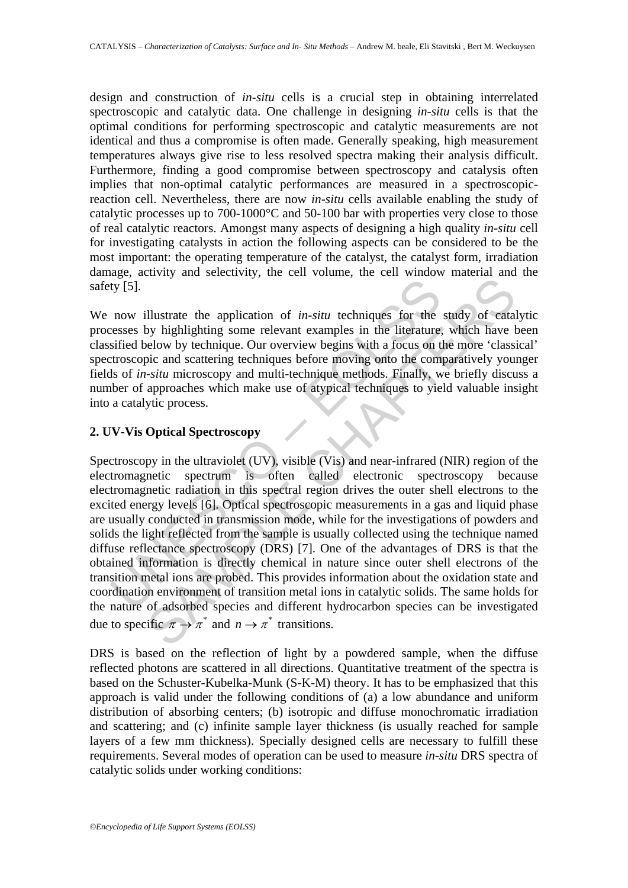design and construction of *in-situ* cells is a crucial step in obtaining interrelated spectroscopic and catalytic data. One challenge in designing *in-situ* cells is that the optimal conditions for performing spectroscopic and catalytic measurements are not identical and thus a compromise is often made. Generally speaking, high measurement temperatures always give rise to less resolved spectra making their analysis difficult. Furthermore, finding a good compromise between spectroscopy and catalysis often implies that non-optimal catalytic performances are measured in a spectroscopicreaction cell. Nevertheless, there are now *in-situ* cells available enabling the study of catalytic processes up to 700-1000°C and 50-100 bar with properties very close to those of real catalytic reactors. Amongst many aspects of designing a high quality *in-situ* cell for investigating catalysts in action the following aspects can be considered to be the most important: the operating temperature of the catalyst, the catalyst form, irradiation damage, activity and selectivity, the cell volume, the cell window material and the safety [5].

We now illustrate the application of *in-situ* techniques for the study of catalytic processes by highlighting some relevant examples in the literature, which have been classified below by technique. Our overview begins with a focus on the more 'classical' spectroscopic and scattering techniques before moving onto the comparatively younger fields of *in-situ* microscopy and multi-technique methods. Finally, we briefly discuss a number of approaches which make use of atypical techniques to yield valuable insight into a catalytic process.

### **2. UV-Vis Optical Spectroscopy**

It is the application of *in-situ* techniques for the enesses by highlighting some relevant examples in the literature, sified below by technique. Our overview begins with a focus on the some of the commission of the comm illustrate the application of *in-situ* techniques for the study of eatable.<br>Substitute the application of *in-situ* techniques for the study of eatable by highlighting some relevant examples in the literature, which have Spectroscopy in the ultraviolet (UV), visible (Vis) and near-infrared (NIR) region of the electromagnetic spectrum is often called electronic spectroscopy because electromagnetic radiation in this spectral region drives the outer shell electrons to the excited energy levels [6]. Optical spectroscopic measurements in a gas and liquid phase are usually conducted in transmission mode, while for the investigations of powders and solids the light reflected from the sample is usually collected using the technique named diffuse reflectance spectroscopy (DRS) [7]. One of the advantages of DRS is that the obtained information is directly chemical in nature since outer shell electrons of the transition metal ions are probed. This provides information about the oxidation state and coordination environment of transition metal ions in catalytic solids. The same holds for the nature of adsorbed species and different hydrocarbon species can be investigated due to specific  $\pi \to \pi^*$  and  $n \to \pi^*$  transitions.

DRS is based on the reflection of light by a powdered sample, when the diffuse reflected photons are scattered in all directions. Quantitative treatment of the spectra is based on the Schuster-Kubelka-Munk (S-K-M) theory. It has to be emphasized that this approach is valid under the following conditions of (a) a low abundance and uniform distribution of absorbing centers; (b) isotropic and diffuse monochromatic irradiation and scattering; and (c) infinite sample layer thickness (is usually reached for sample layers of a few mm thickness). Specially designed cells are necessary to fulfill these requirements. Several modes of operation can be used to measure *in-situ* DRS spectra of catalytic solids under working conditions: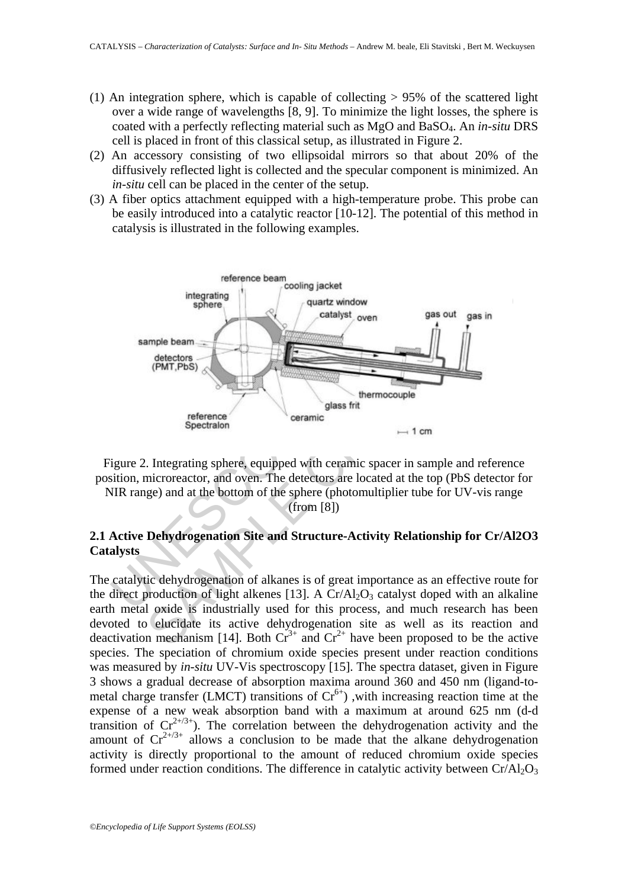- (1) An integration sphere, which is capable of collecting  $> 95\%$  of the scattered light over a wide range of wavelengths [8, 9]. To minimize the light losses, the sphere is coated with a perfectly reflecting material such as MgO and BaSO4. An *in-situ* DRS cell is placed in front of this classical setup, as illustrated in Figure 2.
- (2) An accessory consisting of two ellipsoidal mirrors so that about 20% of the diffusively reflected light is collected and the specular component is minimized. An *in-situ* cell can be placed in the center of the setup.
- (3) A fiber optics attachment equipped with a high-temperature probe. This probe can be easily introduced into a catalytic reactor [10-12]. The potential of this method in catalysis is illustrated in the following examples.





### **2.1 Active Dehydrogenation Site and Structure-Activity Relationship for Cr/Al2O3 Catalysts**

The catalytic dehydrogenation of alkanes is of great importance as an effective route for the direct production of light alkenes [13]. A  $Cr\overline{Al}_2O_3$  catalyst doped with an alkaline earth metal oxide is industrially used for this process, and much research has been devoted to elucidate its active dehydrogenation site as well as its reaction and deactivation mechanism [14]. Both  $Cr^{3+}$  and  $Cr^{2+}$  have been proposed to be the active species. The speciation of chromium oxide species present under reaction conditions was measured by *in-situ* UV-Vis spectroscopy [15]. The spectra dataset, given in Figure 3 shows a gradual decrease of absorption maxima around 360 and 450 nm (ligand-tometal charge transfer (LMCT) transitions of  $Cr^{6+}$ ), with increasing reaction time at the expense of a new weak absorption band with a maximum at around 625 nm (d-d transition of  $Cr^{2+\frac{3}{2}}$ . The correlation between the dehydrogenation activity and the amount of  $Cr^{2+\frac{3}{2}}$  allows a conclusion to be made that the alkane dehydrogenation activity is directly proportional to the amount of reduced chromium oxide species formed under reaction conditions. The difference in catalytic activity between  $Cr/Al_2O_3$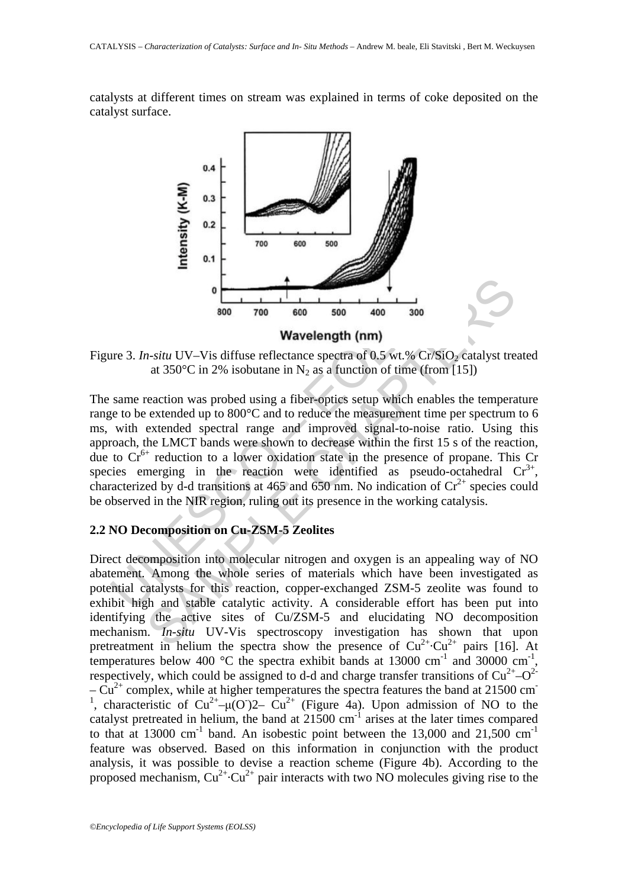catalysts at different times on stream was explained in terms of coke deposited on the catalyst surface.



Figure 3. *In-situ* UV–Vis diffuse reflectance spectra of 0.5 wt.% Cr/SiO<sub>2</sub> catalyst treated at 350 $\degree$ C in 2% isobutane in N<sub>2</sub> as a function of time (from [15])

**Example 12**<br> **Example 12**<br> **Example 12**<br> **Example 12**<br> **Example 12**<br> **Example 12**<br> **Example 12**<br> **Example 12**<br> **Example 12**<br> **Example 12**<br> **Example 12**<br> **Example 12**<br> **Example 12**<br> **Example 12**<br> **Example 12**<br> **Example 12 SET AND THE CONSERVATION** 1.1 The studies the distribution has shown that the set of  $\sim$  100 composition of the set of  $\sim$  100 composition was probed using a fiber-optics setup which enables the temperation was probed The same reaction was probed using a fiber-optics setup which enables the temperature range to be extended up to 800°C and to reduce the measurement time per spectrum to 6 ms, with extended spectral range and improved signal-to-noise ratio. Using this approach, the LMCT bands were shown to decrease within the first 15 s of the reaction, due to  $Cr^{6+}$  reduction to a lower oxidation state in the presence of propane. This Cr species emerging in the reaction were identified as pseudo-octahedral  $Cr^{3+}$ , characterized by d-d transitions at 465 and 650 nm. No indication of  $Cr^{2+}$  species could be observed in the NIR region, ruling out its presence in the working catalysis.

## **2.2 NO Decomposition on Cu-ZSM-5 Zeolites**

Direct decomposition into molecular nitrogen and oxygen is an appealing way of NO abatement. Among the whole series of materials which have been investigated as potential catalysts for this reaction, copper-exchanged ZSM-5 zeolite was found to exhibit high and stable catalytic activity. A considerable effort has been put into identifying the active sites of Cu/ZSM-5 and elucidating NO decomposition mechanism. *In-situ* UV-Vis spectroscopy investigation has shown that upon pretreatment in helium the spectra show the presence of  $Cu^{2+} \cdot Cu^{2+}$  pairs [16]. At temperatures below 400  $^{\circ}$ C the spectra exhibit bands at 13000 cm<sup>-1</sup> and 30000 cm<sup>-1</sup>, respectively, which could be assigned to d-d and charge transfer transitions of  $Cu^{2+}-O^{2-}$  $-\tilde{Cu}^{2+}$  complex, while at higher temperatures the spectra features the band at 21500 cm<sup>-</sup> <sup>1</sup>, characteristic of  $Cu^{2+}$ – $\mu$ (O)<sup>2</sup>–  $Cu^{2+}$  (Figure 4a). Upon admission of NO to the catalyst pretreated in helium, the band at  $21500 \text{ cm}^{-1}$  arises at the later times compared to that at 13000 cm<sup>-1</sup> band. An isobestic point between the 13,000 and 21,500 cm<sup>-1</sup> feature was observed. Based on this information in conjunction with the product analysis, it was possible to devise a reaction scheme (Figure 4b). According to the proposed mechanism,  $Cu^{2+}$ ·Cu<sup>2+</sup> pair interacts with two NO molecules giving rise to the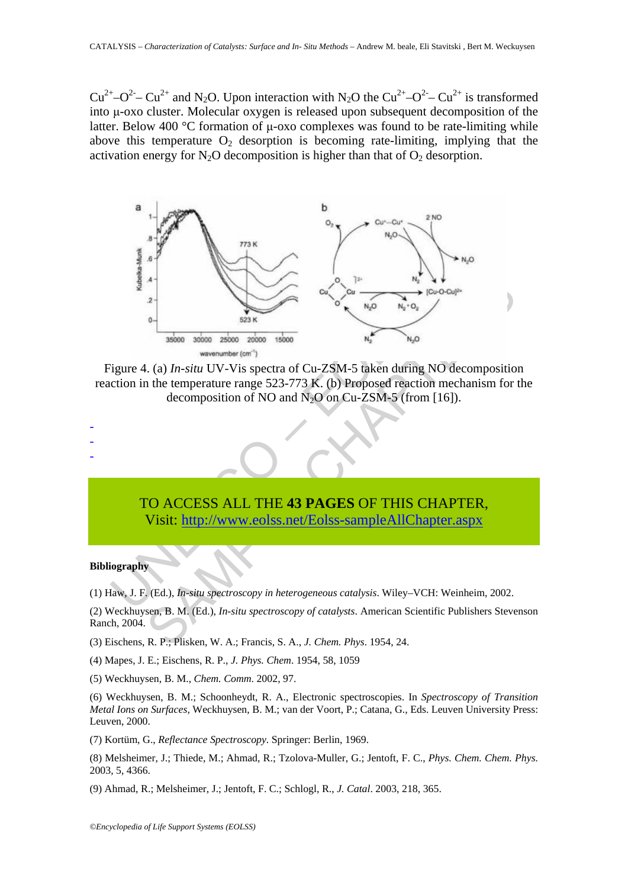$Cu^{2+}-O^{2}-Cu^{2+}$  and N<sub>2</sub>O. Upon interaction with N<sub>2</sub>O the  $Cu^{2+}-O^{2}-Cu^{2+}$  is transformed into μ-oxo cluster. Molecular oxygen is released upon subsequent decomposition of the latter. Below 400 °C formation of μ-oxo complexes was found to be rate-limiting while above this temperature  $O_2$  desorption is becoming rate-limiting, implying that the activation energy for  $N_2O$  decomposition is higher than that of  $O_2$  desorption.



Figure 4. (a) *In-situ* UV-Vis spectra of Cu-ZSM-5 taken during NO decomposition reaction in the temperature range 523-773 K. (b) Proposed reaction mechanism for the decomposition of NO and  $N_2O$  on Cu-ZSM-5 (from [16]).

> TO ACCESS ALL THE **43 PAGES** OF THIS CHAPTER, Visit: http://www.eolss.net/Eolss-sampleAllChapter.aspx

#### **Bibliography**

- - -

(1) Haw, J. F. (Ed.), *In-situ spectroscopy in heterogeneous catalysis*. Wiley–VCH: Weinheim, 2002.

(2) Weckhuysen, B. M. (Ed.), *In-situ spectroscopy of catalysts*. American Scientific Publishers Stevenson Ranch, 2004.

- (3) Eischens, R. P.; Plisken, W. A.; Francis, S. A., *J. Chem. Phys*. 1954, 24.
- (4) Mapes, J. E.; Eischens, R. P., *J. Phys. Chem*. 1954, 58, 1059
- (5) Weckhuysen, B. M., *Chem. Comm*. 2002, 97.

(6) Weckhuysen, B. M.; Schoonheydt, R. A., Electronic spectroscopies. In *Spectroscopy of Transition Metal Ions on Surfaces,* Weckhuysen, B. M.; van der Voort, P.; Catana, G., Eds. Leuven University Press: Leuven, 2000.

(7) Kortüm, G., *Reflectance Spectroscopy*. Springer: Berlin, 1969.

(8) Melsheimer, J.; Thiede, M.; Ahmad, R.; Tzolova-Muller, G.; Jentoft, F. C., *Phys. Chem. Chem. Phys.* 2003, 5, 4366.

(9) Ahmad, R.; Melsheimer, J.; Jentoft, F. C.; Schlogl, R., *J. Catal*. 2003, 218, 365.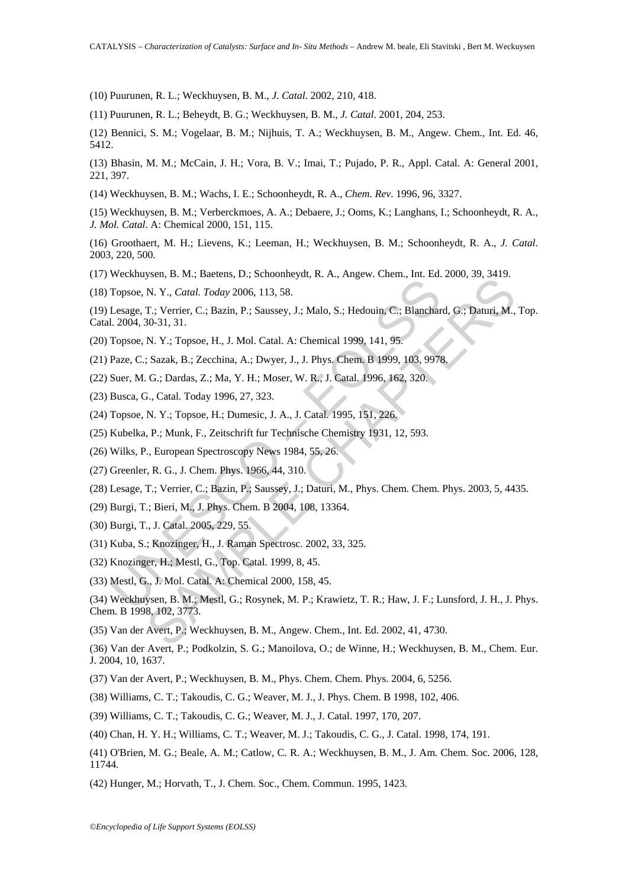(10) Puurunen, R. L.; Weckhuysen, B. M., *J. Catal.* 2002, 210, 418.

(11) Puurunen, R. L.; Beheydt, B. G.; Weckhuysen, B. M., *J. Catal*. 2001, 204, 253.

(12) Bennici, S. M.; Vogelaar, B. M.; Nijhuis, T. A.; Weckhuysen, B. M., Angew. Chem., Int. Ed. 46, 5412.

(13) Bhasin, M. M.; McCain, J. H.; Vora, B. V.; Imai, T.; Pujado, P. R., Appl. Catal. A: General 2001, 221, 397.

(14) Weckhuysen, B. M.; Wachs, I. E.; Schoonheydt, R. A., *Chem. Rev*. 1996, 96, 3327.

(15) Weckhuysen, B. M.; Verberckmoes, A. A.; Debaere, J.; Ooms, K.; Langhans, I.; Schoonheydt, R. A., *J. Mol. Catal*. A: Chemical 2000, 151, 115.

(16) Groothaert, M. H.; Lievens, K.; Leeman, H.; Weckhuysen, B. M.; Schoonheydt, R. A., *J. Catal*. 2003, 220, 500.

(17) Weckhuysen, B. M.; Baetens, D.; Schoonheydt, R. A., Angew. Chem., Int. Ed. 2000, 39, 3419.

(18) Topsoe, N. Y., *Catal. Today* 2006, 113, 58.

Topsoe, N. Y., Catal. Today 2006, 113, 58.<br>
Lessage, T.; Verrier, C.; Bazin, P.; Saussey, J.; Malo, S.; Hedouin, C.; Blanchar<br>
L.2004, 30-31, 31.<br>
Topsoe, N. Y.; Topsoe, H., J. Mol. Catal. A: Chemical 1999, 141, 95.<br>
Paze, (19) Lesage, T.; Verrier, C.; Bazin, P.; Saussey, J.; Malo, S.; Hedouin, C.; Blanchard, G.; Daturi, M., Top. Catal. 2004, 30-31, 31.

(20) Topsoe, N. Y.; Topsoe, H., J. Mol. Catal. A: Chemical 1999, 141, 95.

(21) Paze, C.; Sazak, B.; Zecchina, A.; Dwyer, J., J. Phys. Chem. B 1999, 103, 9978.

(22) Suer, M. G.; Dardas, Z.; Ma, Y. H.; Moser, W. R., J. Catal. 1996, 162, 320.

(23) Busca, G., Catal. Today 1996, 27, 323.

(24) Topsoe, N. Y.; Topsoe, H.; Dumesic, J. A., J. Catal. 1995, 151, 226.

(25) Kubelka, P.; Munk, F., Zeitschrift fur Technische Chemistry 1931, 12, 593.

(26) Wilks, P., European Spectroscopy News 1984, 55, 26.

(27) Greenler, R. G., J. Chem. Phys. 1966, 44, 310.

(28) Lesage, T.; Verrier, C.; Bazin, P.; Saussey, J.; Daturi, M., Phys. Chem. Chem. Phys. 2003, 5, 4435.

- (29) Burgi, T.; Bieri, M., J. Phys. Chem. B 2004, 108, 13364.
- (30) Burgi, T., J. Catal. 2005, 229, 55.

(31) Kuba, S.; Knozinger, H., J. Raman Spectrosc. 2002, 33, 325.

(32) Knozinger, H.; Mestl, G., Top. Catal. 1999, 8, 45.

(33) Mestl, G., J. Mol. Catal. A: Chemical 2000, 158, 45.

38. D. Anthony 2006, 113, 58.<br>
N. Y., Catal. Today 2006, 113, 58.<br>
N. Y., Catal. Today 2006, 113, 58.<br>
T.; Verrier, C.; Bazin, P.; Saussey, J.; Malo, S.; Hedouin, C.; Blanchard, G.; Daturi, M.<br>
30-31, 31.<br>
N. Y.; Topsoc, H (34) Weckhuysen, B. M.; Mestl, G.; Rosynek, M. P.; Krawietz, T. R.; Haw, J. F.; Lunsford, J. H., J. Phys. Chem. B 1998, 102, 3773.

(35) Van der Avert, P.; Weckhuysen, B. M., Angew. Chem., Int. Ed. 2002, 41, 4730.

(36) Van der Avert, P.; Podkolzin, S. G.; Manoilova, O.; de Winne, H.; Weckhuysen, B. M., Chem. Eur. J. 2004, 10, 1637.

(37) Van der Avert, P.; Weckhuysen, B. M., Phys. Chem. Chem. Phys. 2004, 6, 5256.

(38) Williams, C. T.; Takoudis, C. G.; Weaver, M. J., J. Phys. Chem. B 1998, 102, 406.

(39) Williams, C. T.; Takoudis, C. G.; Weaver, M. J., J. Catal. 1997, 170, 207.

(40) Chan, H. Y. H.; Williams, C. T.; Weaver, M. J.; Takoudis, C. G., J. Catal. 1998, 174, 191.

(41) O'Brien, M. G.; Beale, A. M.; Catlow, C. R. A.; Weckhuysen, B. M., J. Am. Chem. Soc. 2006, 128, 11744.

(42) Hunger, M.; Horvath, T., J. Chem. Soc., Chem. Commun. 1995, 1423.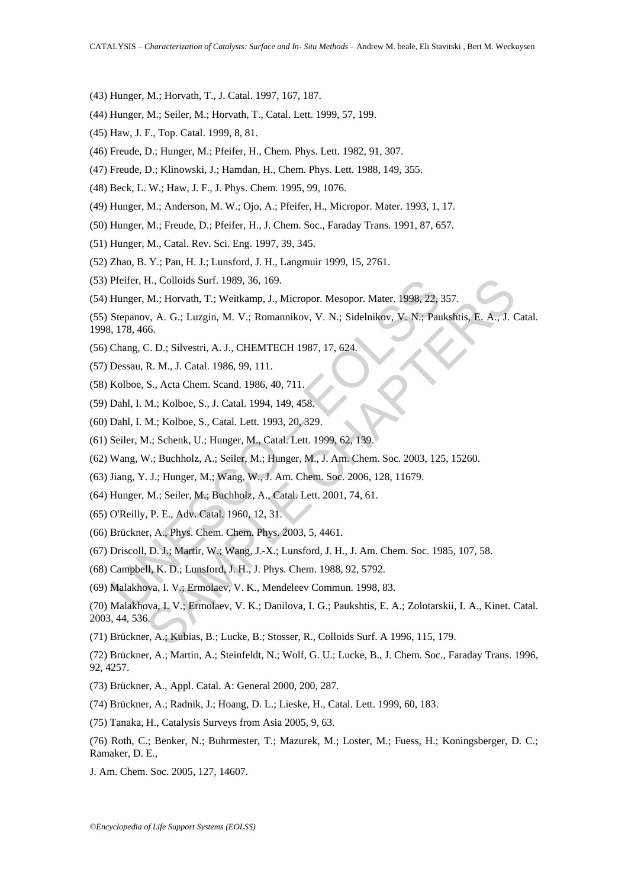- (43) Hunger, M.; Horvath, T., J. Catal. 1997, 167, 187.
- (44) Hunger, M.; Seiler, M.; Horvath, T., Catal. Lett. 1999, 57, 199.
- (45) Haw, J. F., Top. Catal. 1999, 8, 81.
- (46) Freude, D.; Hunger, M.; Pfeifer, H., Chem. Phys. Lett. 1982, 91, 307.
- (47) Freude, D.; Klinowski, J.; Hamdan, H., Chem. Phys. Lett. 1988, 149, 355.
- (48) Beck, L. W.; Haw, J. F., J. Phys. Chem. 1995, 99, 1076.
- (49) Hunger, M.; Anderson, M. W.; Ojo, A.; Pfeifer, H., Micropor. Mater. 1993, 1, 17.
- (50) Hunger, M.; Freude, D.; Pfeifer, H., J. Chem. Soc., Faraday Trans. 1991, 87, 657.
- (51) Hunger, M., Catal. Rev. Sci. Eng. 1997, 39, 345.
- (52) Zhao, B. Y.; Pan, H. J.; Lunsford, J. H., Langmuir 1999, 15, 2761.
- (53) Pfeifer, H., Colloids Surf. 1989, 36, 169.
- (54) Hunger, M.; Horvath, T.; Weitkamp, J., Micropor. Mesopor. Mater. 1998, 22, 357.
- Pfeifer, H., Colloids Surf. 1989, 36, 169.<br>
Hunger, M.; Horvath, T.; Weitkamp, J., Micropor. Mesopor. Mater. 1998, 22, Stepanov, A. G.; Luzgin, M. V.; Romannikov, V. N.; Sidelnikov, V. N.; Pau, 178, 466.<br>
Chang, C. D.; Sil (55) Stepanov, A. G.; Luzgin, M. V.; Romannikov, V. N.; Sidelnikov, V. N.; Paukshtis, E. A., J. Catal. 1998, 178, 466.
- (56) Chang, C. D.; Silvestri, A. J., CHEMTECH 1987, 17, 624.
- (57) Dessau, R. M., J. Catal. 1986, 99, 111.
- (58) Kolboe, S., Acta Chem. Scand. 1986, 40, 711.
- (59) Dahl, I. M.; Kolboe, S., J. Catal. 1994, 149, 458.
- (60) Dahl, I. M.; Kolboe, S., Catal. Lett. 1993, 20, 329.
- (61) Seiler, M.; Schenk, U.; Hunger, M., Catal. Lett. 1999, 62, 139.
- (62) Wang, W.; Buchholz, A.; Seiler, M.; Hunger, M., J. Am. Chem. Soc. 2003, 125, 15260.
- (63) Jiang, Y. J.; Hunger, M.; Wang, W., J. Am. Chem. Soc. 2006, 128, 11679.
- (64) Hunger, M.; Seiler, M.; Buchholz, A., Catal. Lett. 2001, 74, 61.
- (65) O'Reilly, P. E., Adv. Catal. 1960, 12, 31.
- (66) Brückner, A., Phys. Chem. Chem. Phys. 2003, 5, 4461.
- (67) Driscoll, D. J.; Martir, W.; Wang, J.-X.; Lunsford, J. H., J. Am. Chem. Soc. 1985, 107, 58.
- (68) Campbell, K. D.; Lunsford, J. H., J. Phys. Chem. 1988, 92, 5792.
- (69) Malakhova, I. V.; Ermolaev, V. K., Mendeleev Commun. 1998, 83.
- H., Colloids Surf. 1989, 36, 169.<br>
M.: Horvath, T.; Weitkamp, J., Micropor. Mesopor. Mater. 1998, 22, 357.<br>
v. A. G.; Luzgin, M. V.; Romannikov, V. N.; Sidelnikov, V. N.; Paukshits, E. A., J. Co.<br>
56.<br>
C. D.; Silvestri, A. (70) Malakhova, I. V.; Ermolaev, V. K.; Danilova, I. G.; Paukshtis, E. A.; Zolotarskii, I. A., Kinet. Catal. 2003, 44, 536.
- (71) Brückner, A.; Kubias, B.; Lucke, B.; Stosser, R., Colloids Surf. A 1996, 115, 179.

(72) Brückner, A.; Martin, A.; Steinfeldt, N.; Wolf, G. U.; Lucke, B., J. Chem. Soc., Faraday Trans. 1996, 92, 4257.

- (73) Brückner, A., Appl. Catal. A: General 2000, 200, 287.
- (74) Brückner, A.; Radnik, J.; Hoang, D. L.; Lieske, H., Catal. Lett. 1999, 60, 183.
- (75) Tanaka, H., Catalysis Surveys from Asia 2005, 9, 63.
- (76) Roth, C.; Benker, N.; Buhrmester, T.; Mazurek, M.; Loster, M.; Fuess, H.; Koningsberger, D. C.; Ramaker, D. E.,
- J. Am. Chem. Soc. 2005, 127, 14607.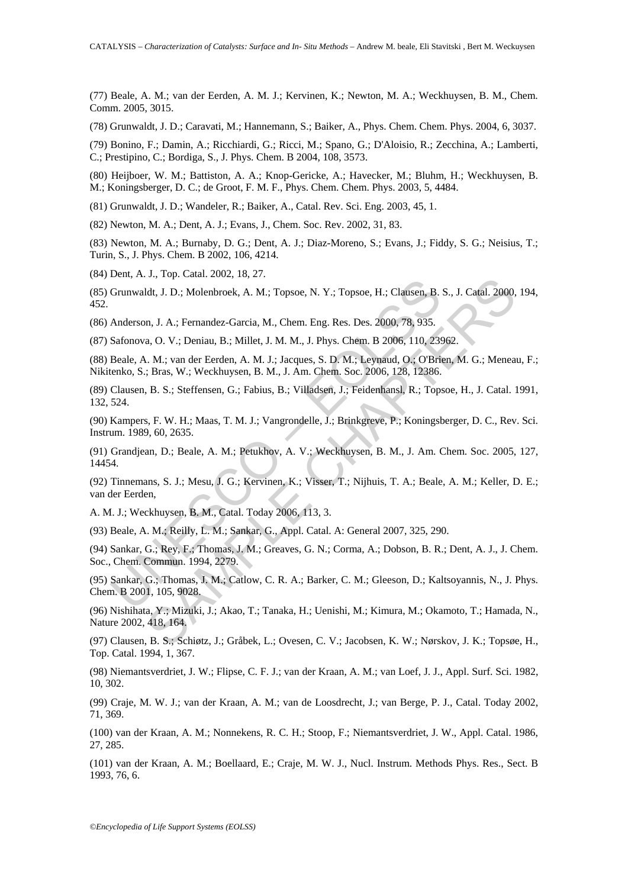(77) Beale, A. M.; van der Eerden, A. M. J.; Kervinen, K.; Newton, M. A.; Weckhuysen, B. M., Chem. Comm. 2005, 3015.

(78) Grunwaldt, J. D.; Caravati, M.; Hannemann, S.; Baiker, A., Phys. Chem. Chem. Phys. 2004, 6, 3037.

(79) Bonino, F.; Damin, A.; Ricchiardi, G.; Ricci, M.; Spano, G.; D'Aloisio, R.; Zecchina, A.; Lamberti, C.; Prestipino, C.; Bordiga, S., J. Phys. Chem. B 2004, 108, 3573.

(80) Heijboer, W. M.; Battiston, A. A.; Knop-Gericke, A.; Havecker, M.; Bluhm, H.; Weckhuysen, B. M.; Koningsberger, D. C.; de Groot, F. M. F., Phys. Chem. Chem. Phys. 2003, 5, 4484.

(81) Grunwaldt, J. D.; Wandeler, R.; Baiker, A., Catal. Rev. Sci. Eng. 2003, 45, 1.

(82) Newton, M. A.; Dent, A. J.; Evans, J., Chem. Soc. Rev. 2002, 31, 83.

(83) Newton, M. A.; Burnaby, D. G.; Dent, A. J.; Diaz-Moreno, S.; Evans, J.; Fiddy, S. G.; Neisius, T.; Turin, S., J. Phys. Chem. B 2002, 106, 4214.

(84) Dent, A. J., Top. Catal. 2002, 18, 27.

(85) Grunwaldt, J. D.; Molenbroek, A. M.; Topsoe, N. Y.; Topsoe, H.; Clausen, B. S., J. Catal. 2000, 194, 452.

(86) Anderson, J. A.; Fernandez-Garcia, M., Chem. Eng. Res. Des. 2000, 78, 935.

(87) Safonova, O. V.; Deniau, B.; Millet, J. M. M., J. Phys. Chem. B 2006, 110, 23962.

(88) Beale, A. M.; van der Eerden, A. M. J.; Jacques, S. D. M.; Leynaud, O.; O'Brien, M. G.; Meneau, F.; Nikitenko, S.; Bras, W.; Weckhuysen, B. M., J. Am. Chem. Soc. 2006, 128, 12386.

(89) Clausen, B. S.; Steffensen, G.; Fabius, B.; Villadsen, J.; Feidenhansl, R.; Topsoe, H., J. Catal. 1991, 132, 524.

(90) Kampers, F. W. H.; Maas, T. M. J.; Vangrondelle, J.; Brinkgreve, P.; Koningsberger, D. C., Rev. Sci. Instrum. 1989, 60, 2635.

(91) Grandjean, D.; Beale, A. M.; Petukhov, A. V.; Weckhuysen, B. M., J. Am. Chem. Soc. 2005, 127, 14454.

Early Marty, J.D.; Molenbroek, A. M.; Topsoe, N. Y.; Topsoe, H.; Clausen, B.<br>
Anderson, J. A.; Fernandez-Garcia, M., Chem. Eng. Res. Des. 2000, 78, 935.<br>
Safonova, O. V.; Deniau, B.; Millet, J. M. M., J. Phys. Chem. B 2006 3., 1 op. catal 2002; 10, 27.<br>
dt, J. D.; Molenbroek, A. M.; Topsoe, N. Y.; Topsoe, H.; Clausen, B. S., J. Catal. 2000,<br>
n, J. A.; Fernandez-Garcia, M., Chem. Eng. Res. Des. 2000, 78, 935.<br>
a. O. V.; Deniau, B.; Millet, J. (92) Tinnemans, S. J.; Mesu, J. G.; Kervinen, K.; Visser, T.; Nijhuis, T. A.; Beale, A. M.; Keller, D. E.; van der Eerden,

A. M. J.; Weckhuysen, B. M., Catal. Today 2006, 113, 3.

(93) Beale, A. M.; Reilly, L. M.; Sankar, G., Appl. Catal. A: General 2007, 325, 290.

(94) Sankar, G.; Rey, F.; Thomas, J. M.; Greaves, G. N.; Corma, A.; Dobson, B. R.; Dent, A. J., J. Chem. Soc., Chem. Commun. 1994, 2279.

(95) Sankar, G.; Thomas, J. M.; Catlow, C. R. A.; Barker, C. M.; Gleeson, D.; Kaltsoyannis, N., J. Phys. Chem. B 2001, 105, 9028.

(96) Nishihata, Y.; Mizuki, J.; Akao, T.; Tanaka, H.; Uenishi, M.; Kimura, M.; Okamoto, T.; Hamada, N., Nature 2002, 418, 164.

(97) Clausen, B. S.; Schiøtz, J.; Gråbek, L.; Ovesen, C. V.; Jacobsen, K. W.; Nørskov, J. K.; Topsøe, H., Top. Catal. 1994, 1, 367.

(98) Niemantsverdriet, J. W.; Flipse, C. F. J.; van der Kraan, A. M.; van Loef, J. J., Appl. Surf. Sci. 1982, 10, 302.

(99) Craje, M. W. J.; van der Kraan, A. M.; van de Loosdrecht, J.; van Berge, P. J., Catal. Today 2002, 71, 369.

(100) van der Kraan, A. M.; Nonnekens, R. C. H.; Stoop, F.; Niemantsverdriet, J. W., Appl. Catal. 1986, 27, 285.

(101) van der Kraan, A. M.; Boellaard, E.; Craje, M. W. J., Nucl. Instrum. Methods Phys. Res., Sect. B 1993, 76, 6.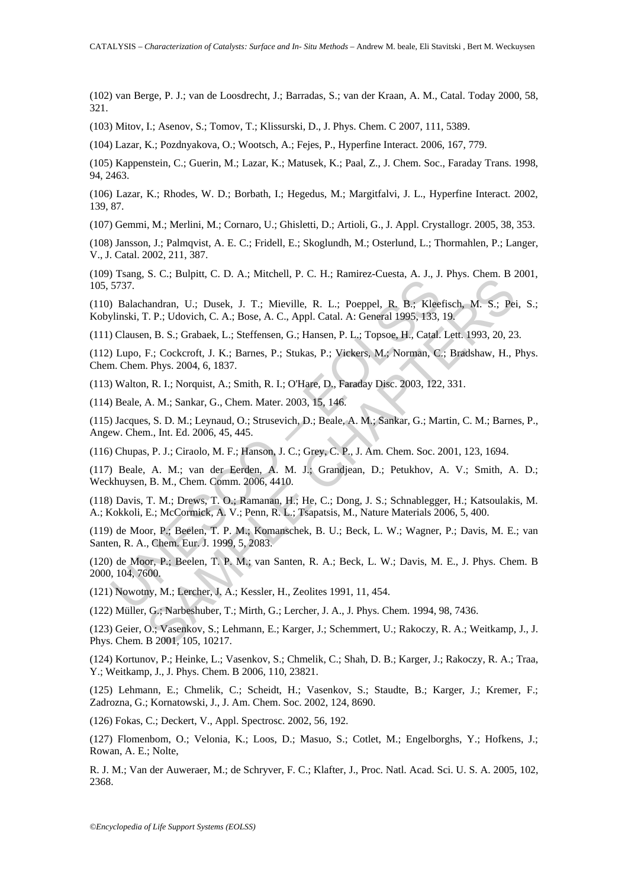(102) van Berge, P. J.; van de Loosdrecht, J.; Barradas, S.; van der Kraan, A. M., Catal. Today 2000, 58, 321.

(103) Mitov, I.; Asenov, S.; Tomov, T.; Klissurski, D., J. Phys. Chem. C 2007, 111, 5389.

(104) Lazar, K.; Pozdnyakova, O.; Wootsch, A.; Fejes, P., Hyperfine Interact. 2006, 167, 779.

(105) Kappenstein, C.; Guerin, M.; Lazar, K.; Matusek, K.; Paal, Z., J. Chem. Soc., Faraday Trans. 1998, 94, 2463.

(106) Lazar, K.; Rhodes, W. D.; Borbath, I.; Hegedus, M.; Margitfalvi, J. L., Hyperfine Interact. 2002, 139, 87.

(107) Gemmi, M.; Merlini, M.; Cornaro, U.; Ghisletti, D.; Artioli, G., J. Appl. Crystallogr. 2005, 38, 353.

(108) Jansson, J.; Palmqvist, A. E. C.; Fridell, E.; Skoglundh, M.; Osterlund, L.; Thormahlen, P.; Langer, V., J. Catal. 2002, 211, 387.

(109) Tsang, S. C.; Bulpitt, C. D. A.; Mitchell, P. C. H.; Ramirez-Cuesta, A. J., J. Phys. Chem. B 2001, 105, 5737.

(110) Balachandran, U.; Dusek, J. T.; Mieville, R. L.; Poeppel, R. B.; Kleefisch, M. S.; Pei, S.; Kobylinski, T. P.; Udovich, C. A.; Bose, A. C., Appl. Catal. A: General 1995, 133, 19.

(111) Clausen, B. S.; Grabaek, L.; Steffensen, G.; Hansen, P. L.; Topsoe, H., Catal. Lett. 1993, 20, 23.

5737.<br>
Dalachandran, U.; Dusek, J. T.; Mieville, R. L.; Poeppel, R. B.; Kleeylinski, T. P.; Udovich, C. A.; Bose, A. C., Appl. Catal. A: General 1995, 133,<br>
Ultinski, T. P.; Udovich, C. A.; Bose, A. C., Appl. Catal. A: Gen S. C., Daptat, C. D. H., Matchell, F. C. H., Matther Cetesaa, F. S., S. H., S., C. P. H., S. Pei<br>Pandran, U.; Dusek, J. T.; Mieville, R. L.; Poeppel, R. B.; Keefisch, M. S.; Pei<br>P. P. P., Udovich, C. A.; Borse, A. C., Appl (112) Lupo, F.; Cockcroft, J. K.; Barnes, P.; Stukas, P.; Vickers, M.; Norman, C.; Bradshaw, H., Phys. Chem. Chem. Phys. 2004, 6, 1837.

(113) Walton, R. I.; Norquist, A.; Smith, R. I.; O'Hare, D., Faraday Disc. 2003, 122, 331.

(114) Beale, A. M.; Sankar, G., Chem. Mater. 2003, 15, 146.

(115) Jacques, S. D. M.; Leynaud, O.; Strusevich, D.; Beale, A. M.; Sankar, G.; Martin, C. M.; Barnes, P., Angew. Chem., Int. Ed. 2006, 45, 445.

(116) Chupas, P. J.; Ciraolo, M. F.; Hanson, J. C.; Grey, C. P., J. Am. Chem. Soc. 2001, 123, 1694.

(117) Beale, A. M.; van der Eerden, A. M. J.; Grandjean, D.; Petukhov, A. V.; Smith, A. D.; Weckhuysen, B. M., Chem. Comm. 2006, 4410.

(118) Davis, T. M.; Drews, T. O.; Ramanan, H.; He, C.; Dong, J. S.; Schnablegger, H.; Katsoulakis, M. A.; Kokkoli, E.; McCormick, A. V.; Penn, R. L.; Tsapatsis, M., Nature Materials 2006, 5, 400.

(119) de Moor, P.; Beelen, T. P. M.; Komanschek, B. U.; Beck, L. W.; Wagner, P.; Davis, M. E.; van Santen, R. A., Chem. Eur. J. 1999, 5, 2083.

(120) de Moor, P.; Beelen, T. P. M.; van Santen, R. A.; Beck, L. W.; Davis, M. E., J. Phys. Chem. B 2000, 104, 7600.

(121) Nowotny, M.; Lercher, J. A.; Kessler, H., Zeolites 1991, 11, 454.

(122) Müller, G.; Narbeshuber, T.; Mirth, G.; Lercher, J. A., J. Phys. Chem. 1994, 98, 7436.

(123) Geier, O.; Vasenkov, S.; Lehmann, E.; Karger, J.; Schemmert, U.; Rakoczy, R. A.; Weitkamp, J., J. Phys. Chem. B 2001, 105, 10217.

(124) Kortunov, P.; Heinke, L.; Vasenkov, S.; Chmelik, C.; Shah, D. B.; Karger, J.; Rakoczy, R. A.; Traa, Y.; Weitkamp, J., J. Phys. Chem. B 2006, 110, 23821.

(125) Lehmann, E.; Chmelik, C.; Scheidt, H.; Vasenkov, S.; Staudte, B.; Karger, J.; Kremer, F.; Zadrozna, G.; Kornatowski, J., J. Am. Chem. Soc. 2002, 124, 8690.

(126) Fokas, C.; Deckert, V., Appl. Spectrosc. 2002, 56, 192.

(127) Flomenbom, O.; Velonia, K.; Loos, D.; Masuo, S.; Cotlet, M.; Engelborghs, Y.; Hofkens, J.; Rowan, A. E.; Nolte,

R. J. M.; Van der Auweraer, M.; de Schryver, F. C.; Klafter, J., Proc. Natl. Acad. Sci. U. S. A. 2005, 102, 2368.